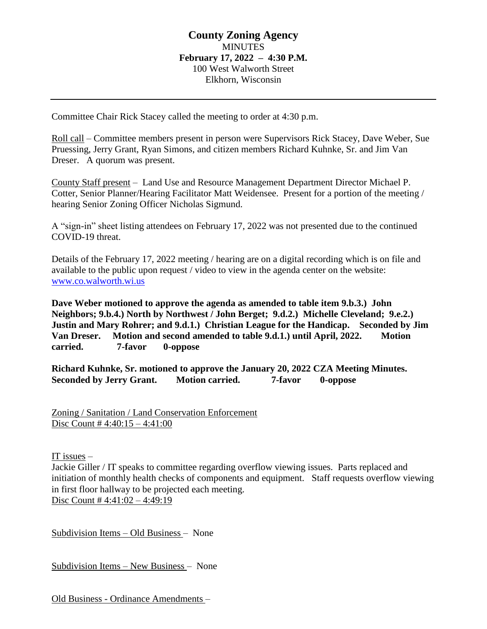# **County Zoning Agency MINUTES February 17, 2022 – 4:30 P.M.** 100 West Walworth Street Elkhorn, Wisconsin

Committee Chair Rick Stacey called the meeting to order at 4:30 p.m.

Roll call – Committee members present in person were Supervisors Rick Stacey, Dave Weber, Sue Pruessing, Jerry Grant, Ryan Simons, and citizen members Richard Kuhnke, Sr. and Jim Van Dreser. A quorum was present.

County Staff present – Land Use and Resource Management Department Director Michael P. Cotter, Senior Planner/Hearing Facilitator Matt Weidensee. Present for a portion of the meeting / hearing Senior Zoning Officer Nicholas Sigmund.

A "sign-in" sheet listing attendees on February 17, 2022 was not presented due to the continued COVID-19 threat.

Details of the February 17, 2022 meeting / hearing are on a digital recording which is on file and available to the public upon request / video to view in the agenda center on the website: [www.co.walworth.wi.us](http://www.co.walworth.wi.us/)

**Dave Weber motioned to approve the agenda as amended to table item 9.b.3.) John Neighbors; 9.b.4.) North by Northwest / John Berget; 9.d.2.) Michelle Cleveland; 9.e.2.) Justin and Mary Rohrer; and 9.d.1.) Christian League for the Handicap. Seconded by Jim Van Dreser. Motion and second amended to table 9.d.1.) until April, 2022. Motion carried. 7-favor 0-oppose**

**Richard Kuhnke, Sr. motioned to approve the January 20, 2022 CZA Meeting Minutes. Seconded by Jerry Grant. Motion carried. 7-favor 0-oppose**

Zoning / Sanitation / Land Conservation Enforcement Disc Count  $\frac{\text{# }4:40:15 - 4:41:00}{9}$ 

IT issues –

Jackie Giller / IT speaks to committee regarding overflow viewing issues. Parts replaced and initiation of monthly health checks of components and equipment. Staff requests overflow viewing in first floor hallway to be projected each meeting. Disc Count  $\#$  4:41:02 – 4:49:19

Subdivision Items – Old Business – None

Subdivision Items – New Business – None

Old Business - Ordinance Amendments –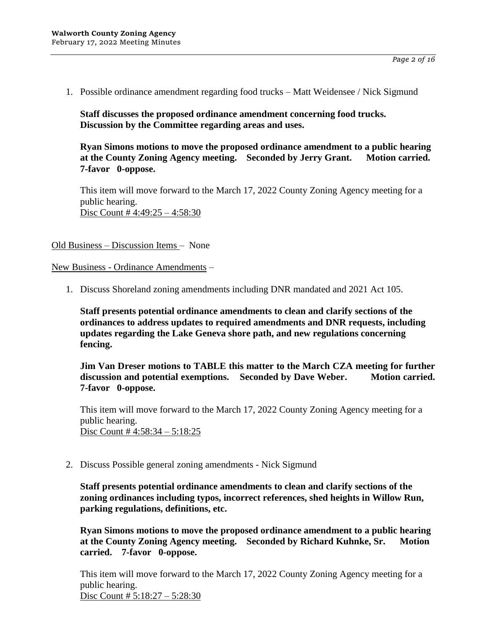1. Possible ordinance amendment regarding food trucks – Matt Weidensee / Nick Sigmund

**Staff discusses the proposed ordinance amendment concerning food trucks. Discussion by the Committee regarding areas and uses.**

**Ryan Simons motions to move the proposed ordinance amendment to a public hearing at the County Zoning Agency meeting. Seconded by Jerry Grant. Motion carried. 7-favor 0-oppose.**

This item will move forward to the March 17, 2022 County Zoning Agency meeting for a public hearing. Disc Count # 4:49:25 – 4:58:30

Old Business – Discussion Items – None

New Business - Ordinance Amendments –

1. Discuss Shoreland zoning amendments including DNR mandated and 2021 Act 105.

**Staff presents potential ordinance amendments to clean and clarify sections of the ordinances to address updates to required amendments and DNR requests, including updates regarding the Lake Geneva shore path, and new regulations concerning fencing.**

**Jim Van Dreser motions to TABLE this matter to the March CZA meeting for further discussion and potential exemptions. Seconded by Dave Weber. Motion carried. 7-favor 0-oppose.**

This item will move forward to the March 17, 2022 County Zoning Agency meeting for a public hearing. Disc Count # 4:58:34 – 5:18:25

2. Discuss Possible general zoning amendments - Nick Sigmund

**Staff presents potential ordinance amendments to clean and clarify sections of the zoning ordinances including typos, incorrect references, shed heights in Willow Run, parking regulations, definitions, etc.**

**Ryan Simons motions to move the proposed ordinance amendment to a public hearing at the County Zoning Agency meeting. Seconded by Richard Kuhnke, Sr. Motion carried. 7-favor 0-oppose.**

This item will move forward to the March 17, 2022 County Zoning Agency meeting for a public hearing. Disc Count # 5:18:27 – 5:28:30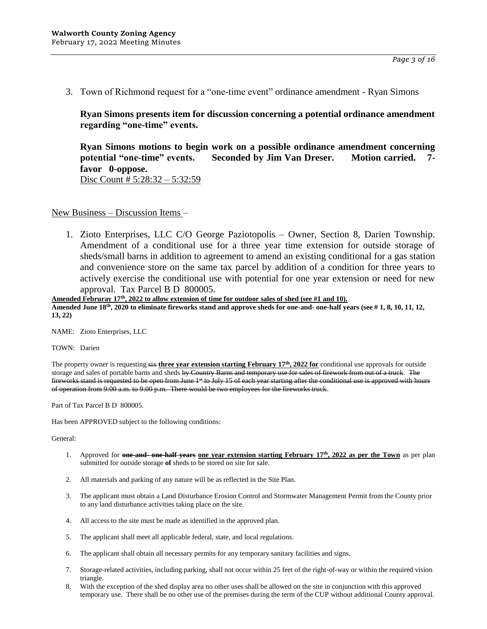3. Town of Richmond request for a "one-time event" ordinance amendment - Ryan Simons

**Ryan Simons presents item for discussion concerning a potential ordinance amendment regarding "one-time" events.**

**Ryan Simons motions to begin work on a possible ordinance amendment concerning potential "one-time" events. Seconded by Jim Van Dreser. Motion carried. 7 favor 0-oppose.** Disc Count # 5:28:32 – 5:32:59

New Business – Discussion Items –

1. Zioto Enterprises, LLC C/O George Paziotopolis – Owner, Section 8, Darien Township. Amendment of a conditional use for a three year time extension for outside storage of sheds/small barns in addition to agreement to amend an existing conditional for a gas station and convenience store on the same tax parcel by addition of a condition for three years to actively exercise the conditional use with potential for one year extension or need for new approval. Tax Parcel B D 800005.

**Amended Februray 17th, 2022 to allow extension of time for outdoor sales of shed (see #1 and 10).**

**Amended June 18th, 2020 to eliminate fireworks stand and approve sheds for one-and- one-half years (see # 1, 8, 10, 11, 12, 13, 22)** 

NAME: Zioto Enterprises, LLC

TOWN: Darien

The property owner is requesting six **three year extension starting February 17th, 2022 for** conditional use approvals for outside storage and sales of portable barns and sheds by Country Barns and temporary use for sales of firework from out of a truck. The fireworks stand is requested to be open from June 1<sup>st</sup> to July 15 of each year starting after the conditional use is approved with hours of operation from 9:00 a.m. to 9:00 p.m. There would be two employees for the fireworks truck.

Part of Tax Parcel B D 800005.

Has been APPROVED subject to the following conditions:

- 1. Approved for **one-and- one-half years one year extension starting February 17th, 2022 as per the Town** as per plan submitted for outside storage **of** sheds to be stored on site for sale.
- 2. All materials and parking of any nature will be as reflected in the Site Plan.
- 3. The applicant must obtain a Land Disturbance Erosion Control and Stormwater Management Permit from the County prior to any land disturbance activities taking place on the site.
- 4. All access to the site must be made as identified in the approved plan.
- 5. The applicant shall meet all applicable federal, state, and local regulations.
- 6. The applicant shall obtain all necessary permits for any temporary sanitary facilities and signs.
- 7. Storage-related activities, including parking, shall not occur within 25 feet of the right-of-way or within the required vision triangle.
- 8. With the exception of the shed display area no other uses shall be allowed on the site in conjunction with this approved temporary use. There shall be no other use of the premises during the term of the CUP without additional County approval.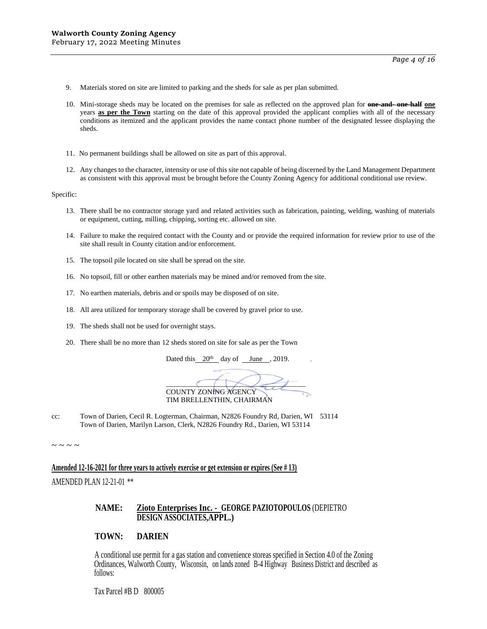- 9. Materials stored on site are limited to parking and the sheds for sale as per plan submitted.
- 10. Mini-storage sheds may be located on the premises for sale as reflected on the approved plan for **one-and- one-half one** years **as per the Town** starting on the date of this approval provided the applicant complies with all of the necessary conditions as itemized and the applicant provides the name contact phone number of the designated lessee displaying the sheds.
- 11. No permanent buildings shall be allowed on site as part of this approval.
- 12. Any changes to the character, intensity or use of this site not capable of being discerned by the Land Management Department as consistent with this approval must be brought before the County Zoning Agency for additional conditional use review.

- 13. There shall be no contractor storage yard and related activities such as fabrication, painting, welding, washing of materials or equipment, cutting, milling, chipping, sorting etc. allowed on site.
- 14. Failure to make the required contact with the County and or provide the required information for review prior to use of the site shall result in County citation and/or enforcement.
- 15. The topsoil pile located on site shall be spread on the site.
- 16. No topsoil, fill or other earthen materials may be mined and/or removed from the site.
- 17. No earthen materials, debris and or spoils may be disposed of on site.
- 18. All area utilized for temporary storage shall be covered by gravel prior to use.
- 19. The sheds shall not be used for overnight stays.
- 20. There shall be no more than 12 sheds stored on site for sale as per the Town

Dated this 20<sup>th</sup> day of June , 2019.

 $\overline{\phantom{a}}$ COUNTY ZONING AGENCY TIM BRELLENTHIN, CHAIRMAN

cc: Town of Darien, Cecil R. Logterman, Chairman, N2826 Foundry Rd, Darien, WI 53114 Town of Darien, Marilyn Larson, Clerk, N2826 Foundry Rd., Darien, WI 53114

 $\sim$  ~ ~ ~

**Amended 12-16-2021 for three years to actively exercise or get extension or expires (See # 13)**

AMENDED PLAN 12-21-01 \*\*

### **NAME: Zioto Enterprises Inc. - GEORGE PAZIOTOPOULOS** (DEPIETRO **DESIGN ASSOCIATES,APPL.)**

### **TOWN: DARIEN**

A conditional use permit for a gas station and convenience storeas specified in Section 4.0 of the Zoning Ordinances, Walworth County, Wisconsin, on lands zoned B-4 Highway Business District and described as follows:

Tax Parcel #B D 800005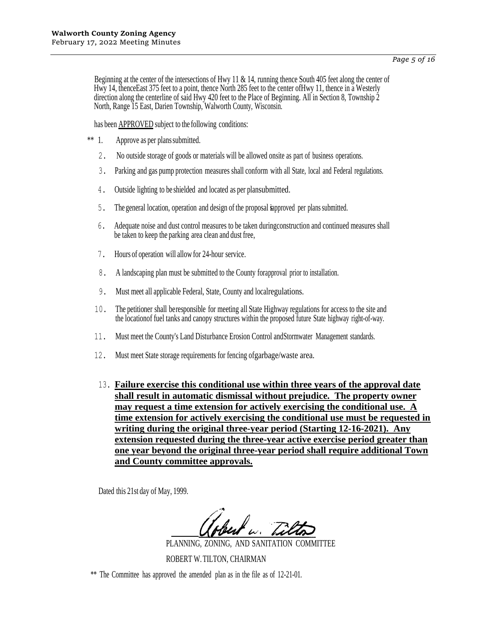Beginning at the center of the intersections of Hwy 11 & 14, running thence South 405 feet along the center of Hwy 14, thenceEast 375 feet to a point, thence North 285 feet to the center ofHwy 11, thence in a Westerly direction along the centerline of said Hwy 420 feet to the Place of Beginning. All in Section 8, Township 2 North, Range 15 East, Darien Township, Walworth County, Wisconsin.

has been **APPROVED** subject to the following conditions:

- \*\* 1. Approve as per planssubmitted.
	- 2. No outside storage of goods or materials will be allowed onsite as part of business operations.
	- 3. Parking and gas pump protection measures shall conform with all State, local and Federal regulations.
	- 4. Outside lighting to be shielded and located as per plansubmitted.
	- 5. The general location, operation and design of the proposal isapproved per plans submitted.
	- 6. Adequate noise and dust control measures to be taken duringconstruction and continued measures shall be taken to keep the parking area clean and dust free,
	- 7. Hours of operation will allow for 24-hour service.
	- 8. A landscaping plan must be submitted to the County forapproval prior to installation.
	- 9. Must meet all applicable Federal, State, County and localregulations.
	- 10. The petitioner shall beresponsible for meeting all State Highway regulations for access to the site and the locationof fuel tanks and canopy structures within the proposed future State highway right-of-way.
	- 11. Must meet the County's Land Disturbance Erosion Control andStormwater Management standards.
	- 12. Must meet State storage requirements for fencing ofgarbage/waste area.
	- 13. **Failure exercise this conditional use within three years of the approval date shall result in automatic dismissal without prejudice. The property owner may request a time extension for actively exercising the conditional use. A time extension for actively exercising the conditional use must be requested in writing during the original three-year period (Starting 12-16-2021). Any extension requested during the three-year active exercise period greater than one year beyond the original three-year period shall require additional Town and County committee approvals.**

Dated this 21st day of May, 1999.

PLANNING, ZONING, AND SANITATION COMMITTEE ROBERT W.TILTON, CHAIRMAN

\*\* The Committee has approved the amended plan as in the file as of 12-21-01.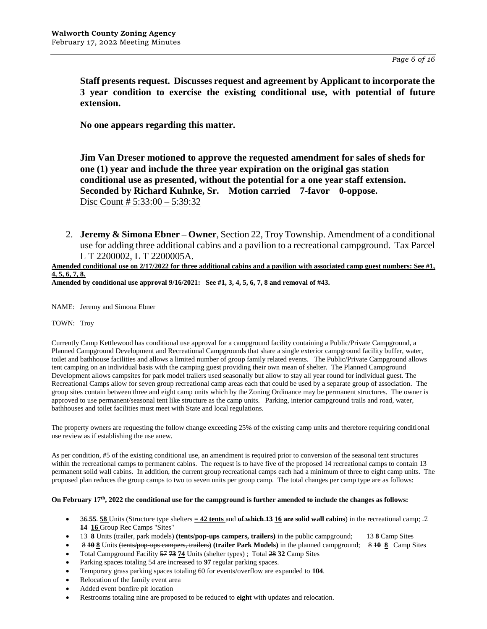**Staff presents request. Discusses request and agreement by Applicant to incorporate the 3 year condition to exercise the existing conditional use, with potential of future extension.**

**No one appears regarding this matter.**

**Jim Van Dreser motioned to approve the requested amendment for sales of sheds for one (1) year and include the three year expiration on the original gas station conditional use as presented, without the potential for a one year staff extension. Seconded by Richard Kuhnke, Sr. Motion carried 7-favor 0-oppose.** Disc Count # 5:33:00 – 5:39:32

2. **Jeremy & Simona Ebner – Owner**, Section 22, Troy Township. Amendment of a conditional use for adding three additional cabins and a pavilion to a recreational campground. Tax Parcel L T 2200002, L T 2200005A.

#### **Amended conditional use on 2/17/2022 for three additional cabins and a pavilion with associated camp guest numbers: See #1, 4, 5, 6, 7, 8.**

**Amended by conditional use approval 9/16/2021: See #1, 3, 4, 5, 6, 7, 8 and removal of #43.**

NAME: Jeremy and Simona Ebner

TOWN: Troy

Currently Camp Kettlewood has conditional use approval for a campground facility containing a Public/Private Campground, a Planned Campground Development and Recreational Campgrounds that share a single exterior campground facility buffer, water, toilet and bathhouse facilities and allows a limited number of group family related events. The Public/Private Campground allows tent camping on an individual basis with the camping guest providing their own mean of shelter. The Planned Campground Development allows campsites for park model trailers used seasonally but allow to stay all year round for individual guest. The Recreational Camps allow for seven group recreational camp areas each that could be used by a separate group of association. The group sites contain between three and eight camp units which by the Zoning Ordinance may be permanent structures. The owner is approved to use permanent/seasonal tent like structure as the camp units. Parking, interior campground trails and road, water, bathhouses and toilet facilities must meet with State and local regulations.

The property owners are requesting the follow change exceeding 25% of the existing camp units and therefore requiring conditional use review as if establishing the use anew.

As per condition, #5 of the existing conditional use, an amendment is required prior to conversion of the seasonal tent structures within the recreational camps to permanent cabins. The request is to have five of the proposed 14 recreational camps to contain 13 permanent solid wall cabins. In addition, the current group recreational camps each had a minimum of three to eight camp units. The proposed plan reduces the group camps to two to seven units per group camp. The total changes per camp type are as follows:

#### **On February 17th, 2022 the conditional use for the campground is further amended to include the changes as follows:**

- 36 **55 58** Units (Structure type shelters  $=$  42 tents and of which 13 16 are solid wall cabins) in the recreational camp;  $\neq$ **14 16** Group Rec Camps "Sites"
- 13 **8** Units (trailer, park models) **(tents/pop-ups campers, trailers)** in the public campground; 13 **8** Camp Sites
- 8 **10 8** Units (tents/pop-ups campers, trailers) **(trailer Park Models)** in the planned campground; 8 **10 8** Camp Sites
- Total Campground Facility 57 **73 74** Units (shelter types) ; Total 28 **32** Camp Sites
- Parking spaces totaling 54 are increased to **97** regular parking spaces.
- Temporary grass parking spaces totaling 60 for events/overflow are expanded to **104**.
- Relocation of the family event area
- Added event bonfire pit location
- Restrooms totaling nine are proposed to be reduced to **eight** with updates and relocation.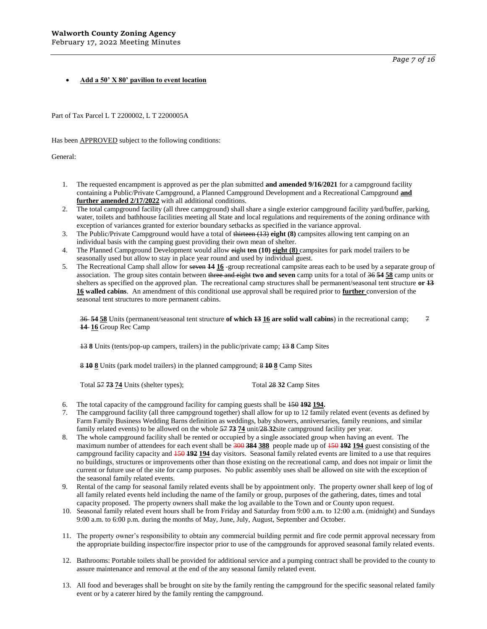*Page 7 of 16*

#### **Add a 50' X 80' pavilion to event location**

Part of Tax Parcel L T 2200002, L T 2200005A

Has been **APPROVED** subject to the following conditions:

General:

- 1. The requested encampment is approved as per the plan submitted **and amended 9/16/2021** for a campground facility containing a Public/Private Campground, a Planned Campground Development and a Recreational Campground **and further amended 2/17/2022** with all additional conditions.
- 2. The total campground facility (all three campground) shall share a single exterior campground facility yard/buffer, parking, water, toilets and bathhouse facilities meeting all State and local regulations and requirements of the zoning ordinance with exception of variances granted for exterior boundary setbacks as specified in the variance approval.
- 3. The Public/Private Campground would have a total of thirteen (13) **eight (8)** campsites allowing tent camping on an individual basis with the camping guest providing their own mean of shelter.
- 4. The Planned Campground Development would allow eight **ten (10) eight (8)** campsites for park model trailers to be seasonally used but allow to stay in place year round and used by individual guest.
- 5. The Recreational Camp shall allow for seven **14 16** -group recreational campsite areas each to be used by a separate group of association. The group sites contain between three and eight **two and seven** camp units for a total of 36 **54 58** camp units or shelters as specified on the approved plan. The recreational camp structures shall be permanent/seasonal tent structure **or 13 16 walled cabins**. An amendment of this conditional use approval shall be required prior to **further** conversion of the seasonal tent structures to more permanent cabins.

36 **54 58** Units (permanent/seasonal tent structure **of which 13 16 are solid wall cabins**) in the recreational camp; 7 **14 16** Group Rec Camp

13 **8** Units (tents/pop-up campers, trailers) in the public/private camp; 13 **8** Camp Sites

8 **10 8** Units (park model trailers) in the planned campground; 8 **10 8** Camp Sites

Total 57 73 74 Units (shelter types); Total 28 32 Camp Sites

- 6. The total capacity of the campground facility for camping guests shall be 150 **192 194.**
- 7. The campground facility (all three campground together) shall allow for up to 12 family related event (events as defined by Farm Family Business Wedding Barns definition as weddings, baby showers, anniversaries, family reunions, and similar family related events) to be allowed on the whole 57 **73 74** unit/28 **32**site campground facility per year.
- 8. The whole campground facility shall be rented or occupied by a single associated group when having an event. The maximum number of attendees for each event shall be 300 **384 388** people made up of 150 **192 194** guest consisting of the campground facility capacity and 150 **192 194** day visitors. Seasonal family related events are limited to a use that requires no buildings, structures or improvements other than those existing on the recreational camp, and does not impair or limit the current or future use of the site for camp purposes. No public assembly uses shall be allowed on site with the exception of the seasonal family related events.
- 9. Rental of the camp for seasonal family related events shall be by appointment only. The property owner shall keep of log of all family related events held including the name of the family or group, purposes of the gathering, dates, times and total capacity proposed. The property owners shall make the log available to the Town and or County upon request.
- 10. Seasonal family related event hours shall be from Friday and Saturday from 9:00 a.m. to 12:00 a.m. (midnight) and Sundays 9:00 a.m. to 6:00 p.m. during the months of May, June, July, August, September and October.
- 11. The property owner's responsibility to obtain any commercial building permit and fire code permit approval necessary from the appropriate building inspector/fire inspector prior to use of the campgrounds for approved seasonal family related events.
- 12. Bathrooms: Portable toilets shall be provided for additional service and a pumping contract shall be provided to the county to assure maintenance and removal at the end of the any seasonal family related event.
- 13. All food and beverages shall be brought on site by the family renting the campground for the specific seasonal related family event or by a caterer hired by the family renting the campground.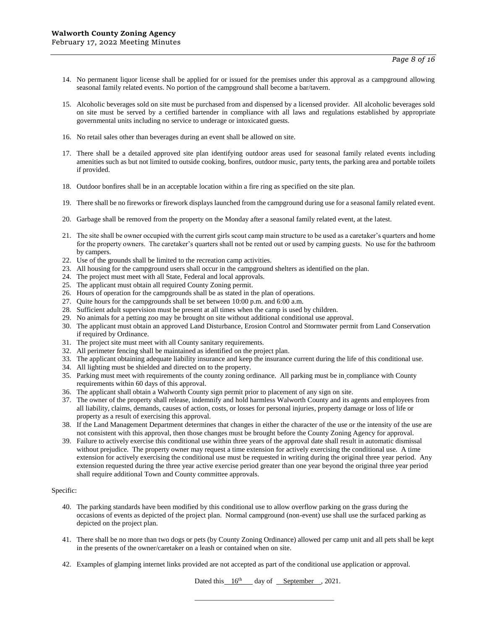- 14. No permanent liquor license shall be applied for or issued for the premises under this approval as a campground allowing seasonal family related events. No portion of the campground shall become a bar/tavern.
- 15. Alcoholic beverages sold on site must be purchased from and dispensed by a licensed provider. All alcoholic beverages sold on site must be served by a certified bartender in compliance with all laws and regulations established by appropriate governmental units including no service to underage or intoxicated guests.
- 16. No retail sales other than beverages during an event shall be allowed on site.
- 17. There shall be a detailed approved site plan identifying outdoor areas used for seasonal family related events including amenities such as but not limited to outside cooking, bonfires, outdoor music, party tents, the parking area and portable toilets if provided.
- 18. Outdoor bonfires shall be in an acceptable location within a fire ring as specified on the site plan.
- 19. There shall be no fireworks or firework displays launched from the campground during use for a seasonal family related event.
- 20. Garbage shall be removed from the property on the Monday after a seasonal family related event, at the latest.
- 21. The site shall be owner occupied with the current girls scout camp main structure to be used as a caretaker's quarters and home for the property owners. The caretaker's quarters shall not be rented out or used by camping guests. No use for the bathroom by campers.
- 22. Use of the grounds shall be limited to the recreation camp activities.
- 23. All housing for the campground users shall occur in the campground shelters as identified on the plan.
- 24. The project must meet with all State, Federal and local approvals.
- 25. The applicant must obtain all required County Zoning permit.
- 26. Hours of operation for the campgrounds shall be as stated in the plan of operations.
- 27. Quite hours for the campgrounds shall be set between 10:00 p.m. and 6:00 a.m.
- 28. Sufficient adult supervision must be present at all times when the camp is used by children.
- 29. No animals for a petting zoo may be brought on site without additional conditional use approval.
- 30. The applicant must obtain an approved Land Disturbance, Erosion Control and Stormwater permit from Land Conservation if required by Ordinance.
- 31. The project site must meet with all County sanitary requirements.
- 32. All perimeter fencing shall be maintained as identified on the project plan.
- 33. The applicant obtaining adequate liability insurance and keep the insurance current during the life of this conditional use.
- 34. All lighting must be shielded and directed on to the property.
- 35. Parking must meet with requirements of the county zoning ordinance. All parking must be in compliance with County requirements within 60 days of this approval.
- 36. The applicant shall obtain a Walworth County sign permit prior to placement of any sign on site.
- 37. The owner of the property shall release, indemnify and hold harmless Walworth County and its agents and employees from all liability, claims, demands, causes of action, costs, or losses for personal injuries, property damage or loss of life or property as a result of exercising this approval.
- 38. If the Land Management Department determines that changes in either the character of the use or the intensity of the use are not consistent with this approval, then those changes must be brought before the County Zoning Agency for approval.
- 39. Failure to actively exercise this conditional use within three years of the approval date shall result in automatic dismissal without prejudice. The property owner may request a time extension for actively exercising the conditional use. A time extension for actively exercising the conditional use must be requested in writing during the original three year period. Any extension requested during the three year active exercise period greater than one year beyond the original three year period shall require additional Town and County committee approvals.

- 40. The parking standards have been modified by this conditional use to allow overflow parking on the grass during the occasions of events as depicted of the project plan. Normal campground (non-event) use shall use the surfaced parking as depicted on the project plan.
- 41. There shall be no more than two dogs or pets (by County Zoning Ordinance) allowed per camp unit and all pets shall be kept in the presents of the owner/caretaker on a leash or contained when on site.
- 42. Examples of glamping internet links provided are not accepted as part of the conditional use application or approval.

Dated this  $16<sup>th</sup>$  day of September , 2021.

\_\_\_\_\_\_\_\_\_\_\_\_\_\_\_\_\_\_\_\_\_\_\_\_\_\_\_\_\_\_\_\_\_\_\_\_\_\_\_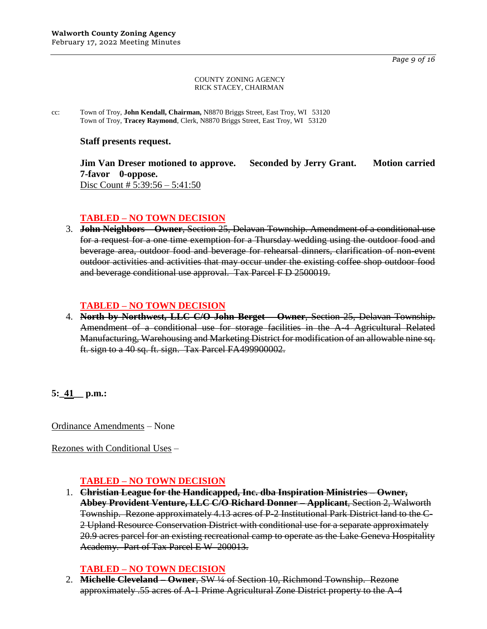*Page 9 of 16*

#### COUNTY ZONING AGENCY RICK STACEY, CHAIRMAN

cc: Town of Troy, **John Kendall, Chairman,** N8870 Briggs Street, East Troy, WI 53120 Town of Troy, **Tracey Raymond**, Clerk, N8870 Briggs Street, East Troy, WI 53120

## **Staff presents request.**

**Jim Van Dreser motioned to approve. Seconded by Jerry Grant. Motion carried 7-favor 0-oppose.** Disc Count # 5:39:56 – 5:41:50

# **TABLED – NO TOWN DECISION**

3. **John Neighbors – Owner**, Section 25, Delavan Township. Amendment of a conditional use for a request for a one time exemption for a Thursday wedding using the outdoor food and beverage area, outdoor food and beverage for rehearsal dinners, clarification of non-event outdoor activities and activities that may occur under the existing coffee shop outdoor food and beverage conditional use approval. Tax Parcel F D 2500019.

# **TABLED – NO TOWN DECISION**

4. **North by Northwest, LLC C/O John Berget – Owner**, Section 25, Delavan Township. Amendment of a conditional use for storage facilities in the A-4 Agricultural Related Manufacturing, Warehousing and Marketing District for modification of an allowable nine sq. ft. sign to a 40 sq. ft. sign. Tax Parcel FA499900002.

**5:\_41\_\_ p.m.:**

Ordinance Amendments – None

Rezones with Conditional Uses –

# **TABLED – NO TOWN DECISION**

1. **Christian League for the Handicapped, Inc. dba Inspiration Ministries – Owner, Abbey Provident Venture, LLC C/O Richard Donner – Applicant**, Section 2, Walworth Township. Rezone approximately 4.13 acres of P-2 Institutional Park District land to the C-2 Upland Resource Conservation District with conditional use for a separate approximately 20.9 acres parcel for an existing recreational camp to operate as the Lake Geneva Hospitality Academy. Part of Tax Parcel E W 200013.

# **TABLED – NO TOWN DECISION**

2. **Michelle Cleveland – Owner**, SW ¼ of Section 10, Richmond Township. Rezone approximately .55 acres of A-1 Prime Agricultural Zone District property to the A-4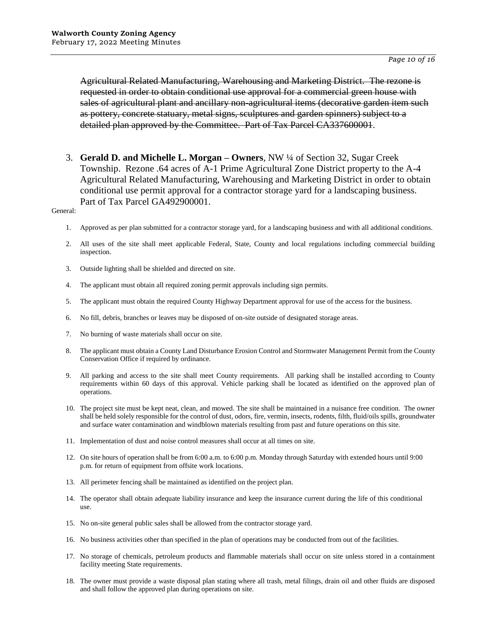Agricultural Related Manufacturing, Warehousing and Marketing District. The rezone is requested in order to obtain conditional use approval for a commercial green house with sales of agricultural plant and ancillary non-agricultural items (decorative garden item such as pottery, concrete statuary, metal signs, sculptures and garden spinners) subject to a detailed plan approved by the Committee. Part of Tax Parcel CA337600001.

3. **Gerald D. and Michelle L. Morgan – Owners**, NW ¼ of Section 32, Sugar Creek Township. Rezone .64 acres of A-1 Prime Agricultural Zone District property to the A-4 Agricultural Related Manufacturing, Warehousing and Marketing District in order to obtain conditional use permit approval for a contractor storage yard for a landscaping business. Part of Tax Parcel GA492900001.

- 1. Approved as per plan submitted for a contractor storage yard, for a landscaping business and with all additional conditions.
- 2. All uses of the site shall meet applicable Federal, State, County and local regulations including commercial building inspection.
- 3. Outside lighting shall be shielded and directed on site.
- 4. The applicant must obtain all required zoning permit approvals including sign permits.
- 5. The applicant must obtain the required County Highway Department approval for use of the access for the business.
- 6. No fill, debris, branches or leaves may be disposed of on-site outside of designated storage areas.
- 7. No burning of waste materials shall occur on site.
- 8. The applicant must obtain a County Land Disturbance Erosion Control and Stormwater Management Permit from the County Conservation Office if required by ordinance.
- 9. All parking and access to the site shall meet County requirements. All parking shall be installed according to County requirements within 60 days of this approval. Vehicle parking shall be located as identified on the approved plan of operations.
- 10. The project site must be kept neat, clean, and mowed. The site shall be maintained in a nuisance free condition. The owner shall be held solely responsible for the control of dust, odors, fire, vermin, insects, rodents, filth, fluid/oils spills, groundwater and surface water contamination and windblown materials resulting from past and future operations on this site.
- 11. Implementation of dust and noise control measures shall occur at all times on site.
- 12. On site hours of operation shall be from 6:00 a.m. to 6:00 p.m. Monday through Saturday with extended hours until 9:00 p.m. for return of equipment from offsite work locations.
- 13. All perimeter fencing shall be maintained as identified on the project plan.
- 14. The operator shall obtain adequate liability insurance and keep the insurance current during the life of this conditional use.
- 15. No on-site general public sales shall be allowed from the contractor storage yard.
- 16. No business activities other than specified in the plan of operations may be conducted from out of the facilities.
- 17. No storage of chemicals, petroleum products and flammable materials shall occur on site unless stored in a containment facility meeting State requirements.
- 18. The owner must provide a waste disposal plan stating where all trash, metal filings, drain oil and other fluids are disposed and shall follow the approved plan during operations on site.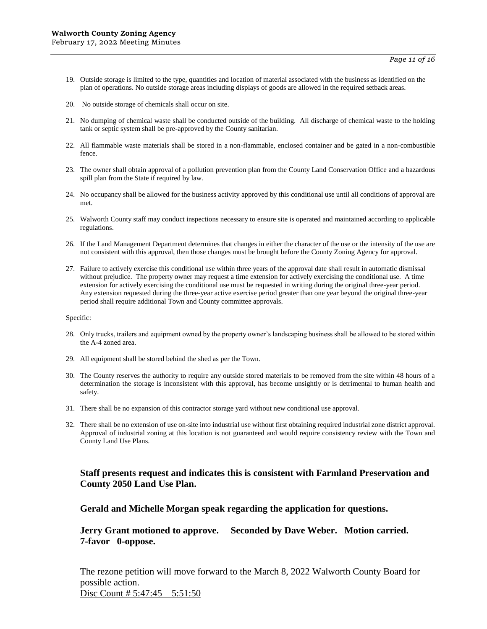- 19. Outside storage is limited to the type, quantities and location of material associated with the business as identified on the plan of operations. No outside storage areas including displays of goods are allowed in the required setback areas.
- 20. No outside storage of chemicals shall occur on site.
- 21. No dumping of chemical waste shall be conducted outside of the building. All discharge of chemical waste to the holding tank or septic system shall be pre-approved by the County sanitarian.
- 22. All flammable waste materials shall be stored in a non-flammable, enclosed container and be gated in a non-combustible fence.
- 23. The owner shall obtain approval of a pollution prevention plan from the County Land Conservation Office and a hazardous spill plan from the State if required by law.
- 24. No occupancy shall be allowed for the business activity approved by this conditional use until all conditions of approval are met.
- 25. Walworth County staff may conduct inspections necessary to ensure site is operated and maintained according to applicable regulations.
- 26. If the Land Management Department determines that changes in either the character of the use or the intensity of the use are not consistent with this approval, then those changes must be brought before the County Zoning Agency for approval.
- 27. Failure to actively exercise this conditional use within three years of the approval date shall result in automatic dismissal without prejudice. The property owner may request a time extension for actively exercising the conditional use. A time extension for actively exercising the conditional use must be requested in writing during the original three-year period. Any extension requested during the three-year active exercise period greater than one year beyond the original three-year period shall require additional Town and County committee approvals.

- 28. Only trucks, trailers and equipment owned by the property owner's landscaping business shall be allowed to be stored within the A-4 zoned area.
- 29. All equipment shall be stored behind the shed as per the Town.
- 30. The County reserves the authority to require any outside stored materials to be removed from the site within 48 hours of a determination the storage is inconsistent with this approval, has become unsightly or is detrimental to human health and safety.
- 31. There shall be no expansion of this contractor storage yard without new conditional use approval.
- 32. There shall be no extension of use on-site into industrial use without first obtaining required industrial zone district approval. Approval of industrial zoning at this location is not guaranteed and would require consistency review with the Town and County Land Use Plans.

## **Staff presents request and indicates this is consistent with Farmland Preservation and County 2050 Land Use Plan.**

**Gerald and Michelle Morgan speak regarding the application for questions.**

**Jerry Grant motioned to approve. Seconded by Dave Weber. Motion carried. 7-favor 0-oppose.**

The rezone petition will move forward to the March 8, 2022 Walworth County Board for possible action. Disc Count # 5:47:45 – 5:51:50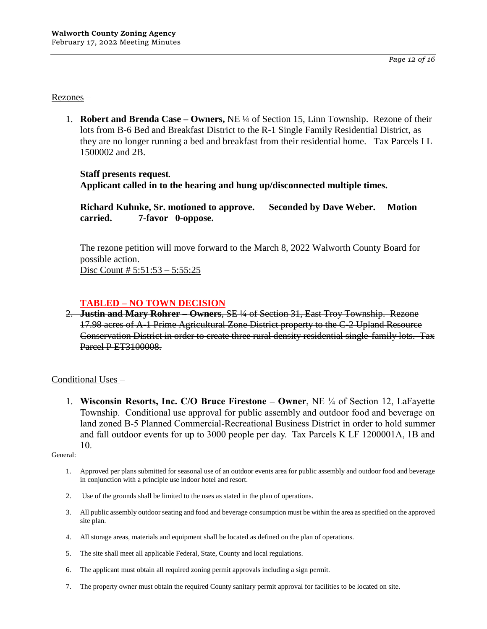*Page 12 of 16*

Rezones –

1. **Robert and Brenda Case – Owners,** NE ¼ of Section 15, Linn Township. Rezone of their lots from B-6 Bed and Breakfast District to the R-1 Single Family Residential District, as they are no longer running a bed and breakfast from their residential home. Tax Parcels I L 1500002 and 2B.

## **Staff presents request. Applicant called in to the hearing and hung up/disconnected multiple times.**

**Richard Kuhnke, Sr. motioned to approve. Seconded by Dave Weber. Motion carried. 7-favor 0-oppose.**

The rezone petition will move forward to the March 8, 2022 Walworth County Board for possible action. Disc Count # 5:51:53 – 5:55:25

# **TABLED – NO TOWN DECISION**

2. **Justin and Mary Rohrer – Owners**, SE ¼ of Section 31, East Troy Township. Rezone 17.98 acres of A-1 Prime Agricultural Zone District property to the C-2 Upland Resource Conservation District in order to create three rural density residential single-family lots. Tax Parcel P ET3100008.

# Conditional Uses –

1. **Wisconsin Resorts, Inc. C/O Bruce Firestone – Owner**, NE ¼ of Section 12, LaFayette Township. Conditional use approval for public assembly and outdoor food and beverage on land zoned B-5 Planned Commercial-Recreational Business District in order to hold summer and fall outdoor events for up to 3000 people per day. Tax Parcels K LF 1200001A, 1B and 10.

- 1. Approved per plans submitted for seasonal use of an outdoor events area for public assembly and outdoor food and beverage in conjunction with a principle use indoor hotel and resort.
- 2. Use of the grounds shall be limited to the uses as stated in the plan of operations.
- 3. All public assembly outdoor seating and food and beverage consumption must be within the area as specified on the approved site plan.
- 4. All storage areas, materials and equipment shall be located as defined on the plan of operations.
- 5. The site shall meet all applicable Federal, State, County and local regulations.
- 6. The applicant must obtain all required zoning permit approvals including a sign permit.
- 7. The property owner must obtain the required County sanitary permit approval for facilities to be located on site.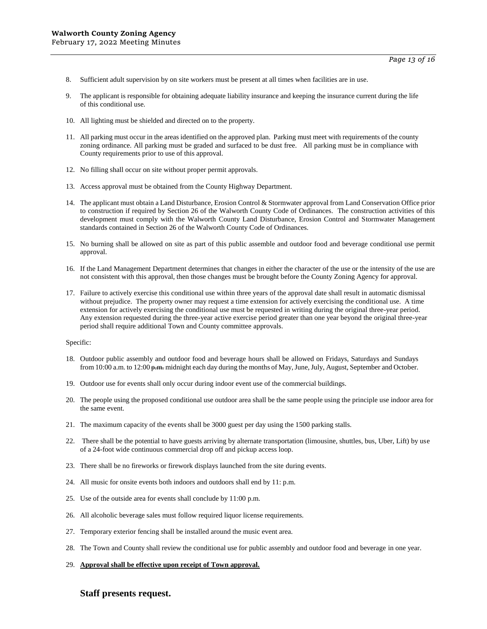- 8. Sufficient adult supervision by on site workers must be present at all times when facilities are in use.
- 9. The applicant is responsible for obtaining adequate liability insurance and keeping the insurance current during the life of this conditional use.
- 10. All lighting must be shielded and directed on to the property.
- 11. All parking must occur in the areas identified on the approved plan. Parking must meet with requirements of the county zoning ordinance. All parking must be graded and surfaced to be dust free. All parking must be in compliance with County requirements prior to use of this approval.
- 12. No filling shall occur on site without proper permit approvals.
- 13. Access approval must be obtained from the County Highway Department.
- 14. The applicant must obtain a Land Disturbance, Erosion Control & Stormwater approval from Land Conservation Office prior to construction if required by Section 26 of the Walworth County Code of Ordinances. The construction activities of this development must comply with the Walworth County Land Disturbance, Erosion Control and Stormwater Management standards contained in Section 26 of the Walworth County Code of Ordinances.
- 15. No burning shall be allowed on site as part of this public assemble and outdoor food and beverage conditional use permit approval.
- 16. If the Land Management Department determines that changes in either the character of the use or the intensity of the use are not consistent with this approval, then those changes must be brought before the County Zoning Agency for approval.
- 17. Failure to actively exercise this conditional use within three years of the approval date shall result in automatic dismissal without prejudice. The property owner may request a time extension for actively exercising the conditional use. A time extension for actively exercising the conditional use must be requested in writing during the original three-year period. Any extension requested during the three-year active exercise period greater than one year beyond the original three-year period shall require additional Town and County committee approvals.

- 18. Outdoor public assembly and outdoor food and beverage hours shall be allowed on Fridays, Saturdays and Sundays from 10:00 a.m. to 12:00 p.m. midnight each day during the months of May, June, July, August, September and October.
- 19. Outdoor use for events shall only occur during indoor event use of the commercial buildings.
- 20. The people using the proposed conditional use outdoor area shall be the same people using the principle use indoor area for the same event.
- 21. The maximum capacity of the events shall be 3000 guest per day using the 1500 parking stalls.
- 22. There shall be the potential to have guests arriving by alternate transportation (limousine, shuttles, bus, Uber, Lift) by use of a 24-foot wide continuous commercial drop off and pickup access loop.
- 23. There shall be no fireworks or firework displays launched from the site during events.
- 24. All music for onsite events both indoors and outdoors shall end by 11: p.m.
- 25. Use of the outside area for events shall conclude by 11:00 p.m.
- 26. All alcoholic beverage sales must follow required liquor license requirements.
- 27. Temporary exterior fencing shall be installed around the music event area.
- 28. The Town and County shall review the conditional use for public assembly and outdoor food and beverage in one year.
- 29. **Approval shall be effective upon receipt of Town approval.**

### **Staff presents request.**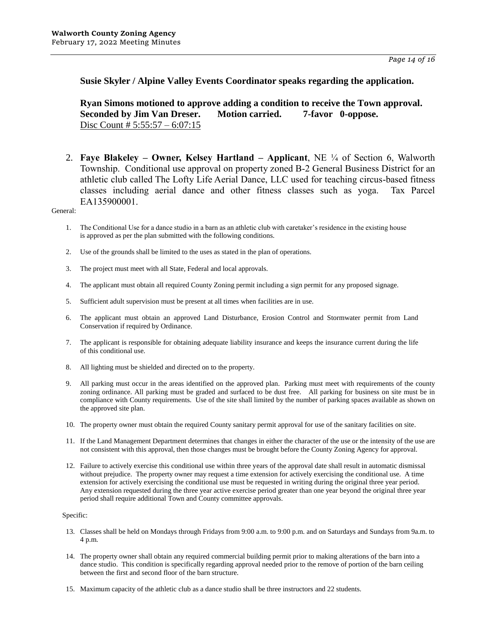**Susie Skyler / Alpine Valley Events Coordinator speaks regarding the application.** 

**Ryan Simons motioned to approve adding a condition to receive the Town approval. Seconded by Jim Van Dreser. Motion carried. 7-favor 0-oppose.**  Disc Count # 5:55:57 – 6:07:15

2. **Faye Blakeley – Owner, Kelsey Hartland – Applicant**, NE ¼ of Section 6, Walworth Township. Conditional use approval on property zoned B-2 General Business District for an athletic club called The Lofty Life Aerial Dance, LLC used for teaching circus-based fitness classes including aerial dance and other fitness classes such as yoga. Tax Parcel EA135900001.

General:

- 1. The Conditional Use for a dance studio in a barn as an athletic club with caretaker's residence in the existing house is approved as per the plan submitted with the following conditions.
- 2. Use of the grounds shall be limited to the uses as stated in the plan of operations.
- 3. The project must meet with all State, Federal and local approvals.
- 4. The applicant must obtain all required County Zoning permit including a sign permit for any proposed signage.
- 5. Sufficient adult supervision must be present at all times when facilities are in use.
- 6. The applicant must obtain an approved Land Disturbance, Erosion Control and Stormwater permit from Land Conservation if required by Ordinance.
- 7. The applicant is responsible for obtaining adequate liability insurance and keeps the insurance current during the life of this conditional use.
- 8. All lighting must be shielded and directed on to the property.
- 9. All parking must occur in the areas identified on the approved plan. Parking must meet with requirements of the county zoning ordinance. All parking must be graded and surfaced to be dust free. All parking for business on site must be in compliance with County requirements. Use of the site shall limited by the number of parking spaces available as shown on the approved site plan.
- 10. The property owner must obtain the required County sanitary permit approval for use of the sanitary facilities on site.
- 11. If the Land Management Department determines that changes in either the character of the use or the intensity of the use are not consistent with this approval, then those changes must be brought before the County Zoning Agency for approval.
- 12. Failure to actively exercise this conditional use within three years of the approval date shall result in automatic dismissal without prejudice. The property owner may request a time extension for actively exercising the conditional use. A time extension for actively exercising the conditional use must be requested in writing during the original three year period. Any extension requested during the three year active exercise period greater than one year beyond the original three year period shall require additional Town and County committee approvals.

#### Specific:

- 13. Classes shall be held on Mondays through Fridays from 9:00 a.m. to 9:00 p.m. and on Saturdays and Sundays from 9a.m. to 4 p.m.
- 14. The property owner shall obtain any required commercial building permit prior to making alterations of the barn into a dance studio. This condition is specifically regarding approval needed prior to the remove of portion of the barn ceiling between the first and second floor of the barn structure.
- 15. Maximum capacity of the athletic club as a dance studio shall be three instructors and 22 students.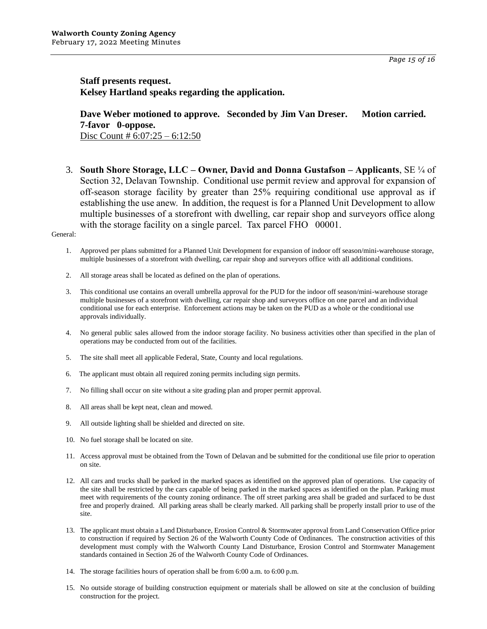*Page 15 of 16*

**Staff presents request. Kelsey Hartland speaks regarding the application.** 

**Dave Weber motioned to approve. Seconded by Jim Van Dreser. Motion carried. 7-favor 0-oppose.**  Disc Count # 6:07:25 – 6:12:50

3. **South Shore Storage, LLC – Owner, David and Donna Gustafson – Applicants**, SE ¼ of Section 32, Delavan Township. Conditional use permit review and approval for expansion of off-season storage facility by greater than 25% requiring conditional use approval as if establishing the use anew. In addition, the request is for a Planned Unit Development to allow multiple businesses of a storefront with dwelling, car repair shop and surveyors office along with the storage facility on a single parcel. Tax parcel FHO 00001.

- 1. Approved per plans submitted for a Planned Unit Development for expansion of indoor off season/mini-warehouse storage, multiple businesses of a storefront with dwelling, car repair shop and surveyors office with all additional conditions.
- 2. All storage areas shall be located as defined on the plan of operations.
- 3. This conditional use contains an overall umbrella approval for the PUD for the indoor off season/mini-warehouse storage multiple businesses of a storefront with dwelling, car repair shop and surveyors office on one parcel and an individual conditional use for each enterprise. Enforcement actions may be taken on the PUD as a whole or the conditional use approvals individually.
- 4. No general public sales allowed from the indoor storage facility. No business activities other than specified in the plan of operations may be conducted from out of the facilities.
- 5. The site shall meet all applicable Federal, State, County and local regulations.
- 6. The applicant must obtain all required zoning permits including sign permits.
- 7. No filling shall occur on site without a site grading plan and proper permit approval.
- 8. All areas shall be kept neat, clean and mowed.
- 9. All outside lighting shall be shielded and directed on site.
- 10. No fuel storage shall be located on site.
- 11. Access approval must be obtained from the Town of Delavan and be submitted for the conditional use file prior to operation on site.
- 12. All cars and trucks shall be parked in the marked spaces as identified on the approved plan of operations. Use capacity of the site shall be restricted by the cars capable of being parked in the marked spaces as identified on the plan. Parking must meet with requirements of the county zoning ordinance. The off street parking area shall be graded and surfaced to be dust free and properly drained. All parking areas shall be clearly marked. All parking shall be properly install prior to use of the site.
- 13. The applicant must obtain a Land Disturbance, Erosion Control & Stormwater approval from Land Conservation Office prior to construction if required by Section 26 of the Walworth County Code of Ordinances. The construction activities of this development must comply with the Walworth County Land Disturbance, Erosion Control and Stormwater Management standards contained in Section 26 of the Walworth County Code of Ordinances.
- 14. The storage facilities hours of operation shall be from 6:00 a.m. to 6:00 p.m.
- 15. No outside storage of building construction equipment or materials shall be allowed on site at the conclusion of building construction for the project.